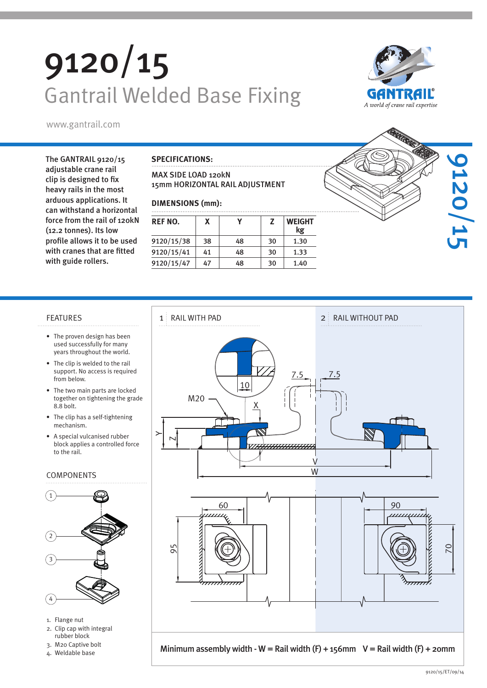# 9120/15 Gantrail Welded Base Fixing





The GANTRAIL 9120/15 adjustable crane rail clip is designed to fix heavy rails in the most arduous applications. It can withstand a horizontal force from the rail of 120kN (12.2 tonnes). Its low profile allows it to be used with cranes that are fitted with guide rollers.

### **SPECIFICATIONS:**

### MAX SIDE LOAD 120kN 15mm HORIZONTAL RAIL ADJUSTMENT

### **DIMENSIONS (mm):**

| <b>REF NO.</b> | X  |    | z  | <b>WEIGHT</b><br>kg |  |  |  |
|----------------|----|----|----|---------------------|--|--|--|
| 9120/15/38     | 38 | 48 | 30 | 1.30                |  |  |  |
| 9120/15/41     | 41 | 48 | 30 | 1.33                |  |  |  |
| 9120/15/47     | 47 | 48 | 30 | 1.40                |  |  |  |



- The proven design has been used successfully for many years throughout the world.
- The clip is welded to the rail support. No access is required from below.
- The two main parts are locked together on tightening the grade 8.8 bolt.
- The clip has a self-tightening mechanism.
- A special vulcanised rubber block applies a controlled force to the rail.

### COMPONENTS



- 1. Flange nut
- 2. Clip cap with integral rubber block
- 3. M20 Captive bolt
- 4. Weldable base